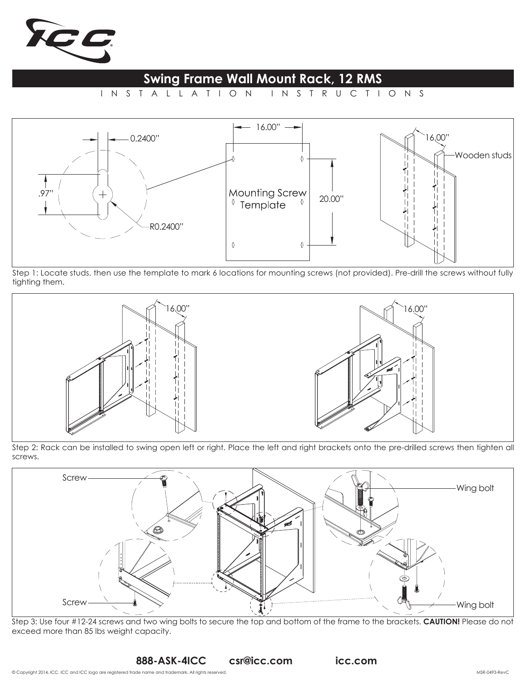

## **Swing Frame Wall Mount Rack, 12 RMS**

INSTALLATION INSTRUCTIONS



Step 1: Locate studs, then use the template to mark 6 locations for mounting screws (not provided). Pre-drill the screws without fully tighting them.



Step 2: Rack can be installed to swing open left or right. Place the left and right brackets onto the pre-drilled screws then tighten all screws.



Step 3: Use four #12-24 screws and two wing bolts to secure the top and bottom of the frame to the brackets. **CAUTION!** Please do not exceed more than 85 lbs weight capacity.

**888-ASK-4ICC csr@icc.com icc.com**